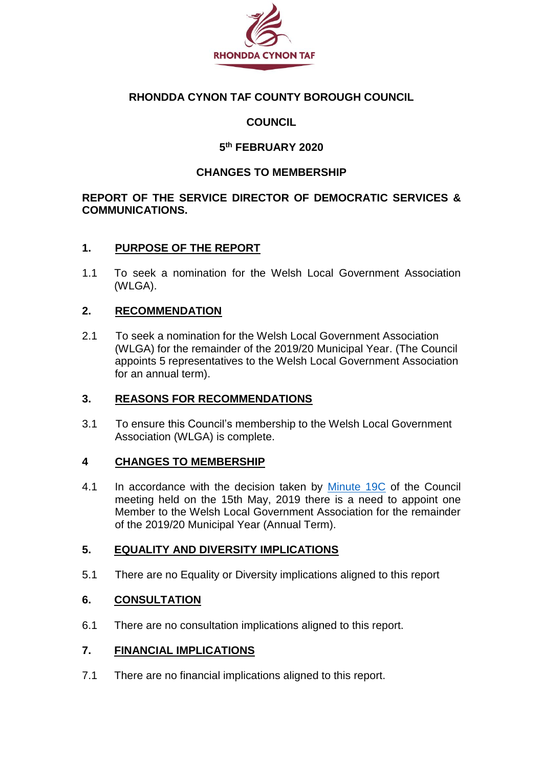

## **RHONDDA CYNON TAF COUNTY BOROUGH COUNCIL**

## **COUNCIL**

## **5 th FEBRUARY 2020**

## **CHANGES TO MEMBERSHIP**

### **REPORT OF THE SERVICE DIRECTOR OF DEMOCRATIC SERVICES & COMMUNICATIONS.**

### **1. PURPOSE OF THE REPORT**

1.1 To seek a nomination for the Welsh Local Government Association (WLGA).

### **2. RECOMMENDATION**

2.1 To seek a nomination for the Welsh Local Government Association (WLGA) for the remainder of the 2019/20 Municipal Year. (The Council appoints 5 representatives to the Welsh Local Government Association for an annual term).

#### **3. REASONS FOR RECOMMENDATIONS**

3.1 To ensure this Council's membership to the Welsh Local Government Association (WLGA) is complete.

#### **4 CHANGES TO MEMBERSHIP**

4.1 In accordance with the decision taken by [Minute 19C](https://www.rctcbc.gov.uk/EN/Council/CouncillorsCommitteesandMeetings/Meetings/Council/2019/05/15/Minutes/Minutes.pdf) of the Council meeting held on the 15th May, 2019 there is a need to appoint one Member to the Welsh Local Government Association for the remainder of the 2019/20 Municipal Year (Annual Term).

#### **5. EQUALITY AND DIVERSITY IMPLICATIONS**

5.1 There are no Equality or Diversity implications aligned to this report

## **6. CONSULTATION**

6.1 There are no consultation implications aligned to this report.

## **7. FINANCIAL IMPLICATIONS**

7.1 There are no financial implications aligned to this report.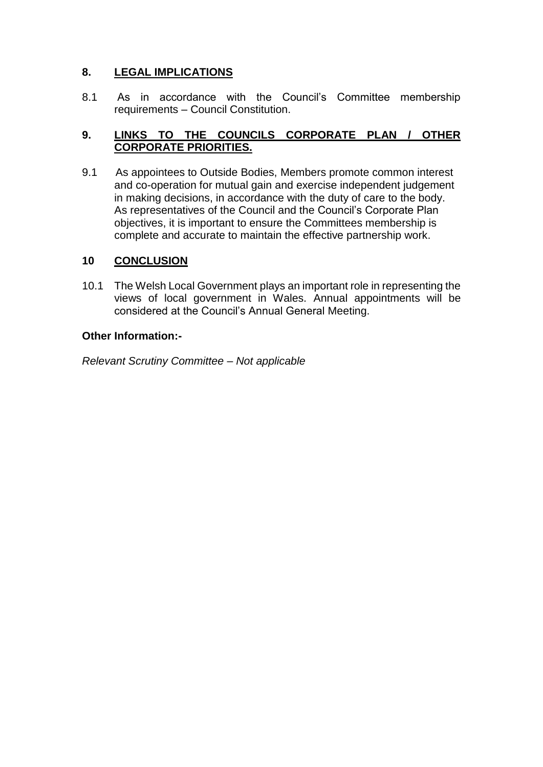## **8. LEGAL IMPLICATIONS**

8.1 As in accordance with the Council's Committee membership requirements – Council Constitution.

## **9. LINKS TO THE COUNCILS CORPORATE PLAN / OTHER CORPORATE PRIORITIES.**

9.1 As appointees to Outside Bodies, Members promote common interest and co-operation for mutual gain and exercise independent judgement in making decisions, in accordance with the duty of care to the body. As representatives of the Council and the Council's Corporate Plan objectives, it is important to ensure the Committees membership is complete and accurate to maintain the effective partnership work.

## **10 CONCLUSION**

10.1 The Welsh Local Government plays an important role in representing the views of local government in Wales. Annual appointments will be considered at the Council's Annual General Meeting.

#### **Other Information:-**

*Relevant Scrutiny Committee – Not applicable*